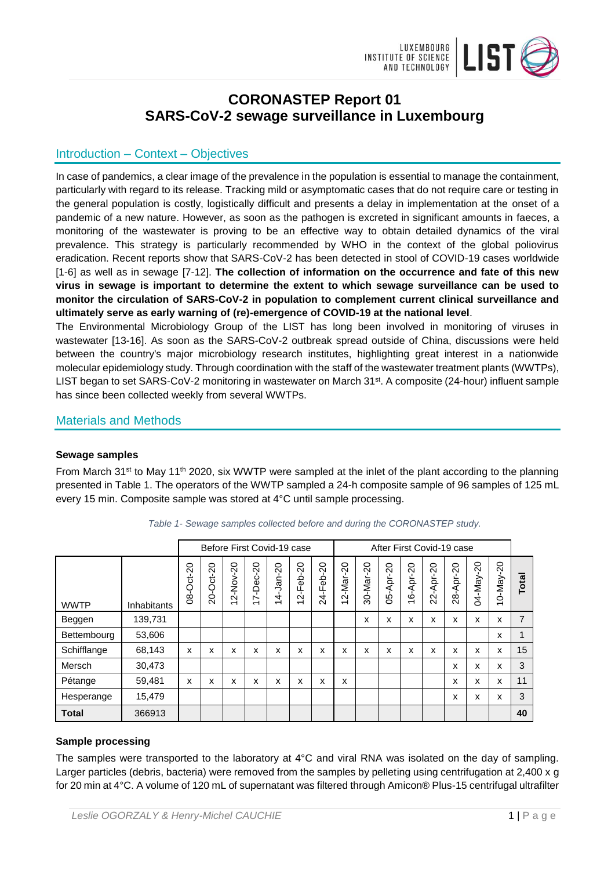

# **CORONASTEP Report 01 SARS-CoV-2 sewage surveillance in Luxembourg**

## Introduction – Context – Objectives

In case of pandemics, a clear image of the prevalence in the population is essential to manage the containment, particularly with regard to its release. Tracking mild or asymptomatic cases that do not require care or testing in the general population is costly, logistically difficult and presents a delay in implementation at the onset of a pandemic of a new nature. However, as soon as the pathogen is excreted in significant amounts in faeces, a monitoring of the wastewater is proving to be an effective way to obtain detailed dynamics of the viral prevalence. This strategy is particularly recommended by WHO in the context of the global poliovirus eradication. Recent reports show that SARS-CoV-2 has been detected in stool of COVID-19 cases worldwide [1-6] as well as in sewage [7-12]. **The collection of information on the occurrence and fate of this new virus in sewage is important to determine the extent to which sewage surveillance can be used to monitor the circulation of SARS-CoV-2 in population to complement current clinical surveillance and ultimately serve as early warning of (re)-emergence of COVID-19 at the national level**.

The Environmental Microbiology Group of the LIST has long been involved in monitoring of viruses in wastewater [13-16]. As soon as the SARS-CoV-2 outbreak spread outside of China, discussions were held between the country's major microbiology research institutes, highlighting great interest in a nationwide molecular epidemiology study. Through coordination with the staff of the wastewater treatment plants (WWTPs), LIST began to set SARS-CoV-2 monitoring in wastewater on March 31<sup>st</sup>. A composite (24-hour) influent sample has since been collected weekly from several WWTPs.

### Materials and Methods

#### **Sewage samples**

From March 31<sup>st</sup> to May 11<sup>th</sup> 2020, six WWTP were sampled at the inlet of the plant according to the planning presented in Table 1. The operators of the WWTP sampled a 24-h composite sample of 96 samples of 125 mL every 15 min. Composite sample was stored at 4°C until sample processing.

|              |                    |              | Before First Covid-19 case |                                      |                                      |                                                     |                                                                            |                                                           | After First Covid-19 case                                                               |                                                         |           |                    |                     |                                                               |           |                 |                |
|--------------|--------------------|--------------|----------------------------|--------------------------------------|--------------------------------------|-----------------------------------------------------|----------------------------------------------------------------------------|-----------------------------------------------------------|-----------------------------------------------------------------------------------------|---------------------------------------------------------|-----------|--------------------|---------------------|---------------------------------------------------------------|-----------|-----------------|----------------|
| <b>WWTP</b>  | <b>Inhabitants</b> | လု<br>08-Oct | 20-Oct-20                  | 2-Nov-20<br>$\overline{\phantom{0}}$ | 7-Dec-20<br>$\overline{\phantom{0}}$ | $\Omega$<br>T<br>ġ<br>4<br>$\overline{\phantom{0}}$ | $\overline{c}$<br>-Feb-2<br>$\dot{\mathsf{N}}$<br>$\overline{\phantom{0}}$ | $\circ$<br>$\sim$<br>ے<br>a<br>щ<br>$\blacksquare$<br>र्द | $\circ$<br>$\sim$<br>Mar:<br>$\overline{\phantom{a}}$<br>$\dot{\sim}$<br>$\overline{ }$ | $\circ$<br>$\alpha$<br>vari<br>⊠<br>$\overline{1}$<br>ౚ | 05-Apr-20 | Apr-20<br>- F<br>غ | Apr-20<br>- n<br>Š. | $\circ$<br>$\bar{\mathsf{N}}$<br>Apr-<br>- F<br>$\frac{8}{2}$ | 04-May-20 | $10 - May - 20$ | Total          |
| Beggen       | 139.731            |              |                            |                                      |                                      |                                                     |                                                                            |                                                           |                                                                                         | x                                                       | x         | x                  | x                   | X                                                             | x         | x               | $\overline{7}$ |
| Bettembourg  | 53,606             |              |                            |                                      |                                      |                                                     |                                                                            |                                                           |                                                                                         |                                                         |           |                    |                     |                                                               |           | x               | 1              |
| Schifflange  | 68,143             | x            | x                          | x                                    | x                                    | x                                                   | x                                                                          | x                                                         | x                                                                                       | x                                                       | x         | x                  | x                   | x                                                             | x         | x               | 15             |
| Mersch       | 30,473             |              |                            |                                      |                                      |                                                     |                                                                            |                                                           |                                                                                         |                                                         |           |                    |                     | x                                                             | x         | x               | 3              |
| Pétange      | 59,481             | x            | X                          | x                                    | x                                    | x                                                   | x                                                                          | x                                                         | x                                                                                       |                                                         |           |                    |                     | X                                                             | x         | X               | 11             |
| Hesperange   | 15,479             |              |                            |                                      |                                      |                                                     |                                                                            |                                                           |                                                                                         |                                                         |           |                    |                     | x                                                             | x         | x               | 3              |
| <b>Total</b> | 366913             |              |                            |                                      |                                      |                                                     |                                                                            |                                                           |                                                                                         |                                                         |           |                    |                     |                                                               |           |                 | 40             |

|  |  | Table 1- Sewage samples collected before and during the CORONASTEP study. |
|--|--|---------------------------------------------------------------------------|
|--|--|---------------------------------------------------------------------------|

# **Sample processing**

The samples were transported to the laboratory at 4°C and viral RNA was isolated on the day of sampling. Larger particles (debris, bacteria) were removed from the samples by pelleting using centrifugation at 2,400 x g for 20 min at 4°C. A volume of 120 mL of supernatant was filtered through Amicon® Plus-15 centrifugal ultrafilter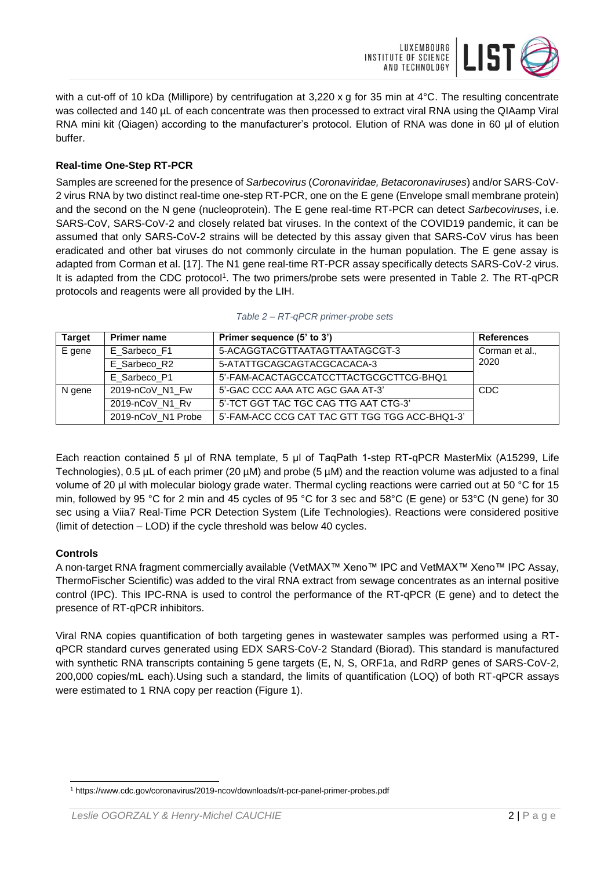

with a cut-off of 10 kDa (Millipore) by centrifugation at 3,220 x g for 35 min at 4°C. The resulting concentrate was collected and 140 µL of each concentrate was then processed to extract viral RNA using the QIAamp Viral RNA mini kit (Qiagen) according to the manufacturer's protocol. Elution of RNA was done in 60 μl of elution buffer.

### **Real-time One-Step RT-PCR**

Samples are screened for the presence of *Sarbecovirus* (*Coronaviridae, Betacoronaviruses*) and/or SARS-CoV-2 virus RNA by two distinct real-time one-step RT-PCR, one on the E gene (Envelope small membrane protein) and the second on the N gene (nucleoprotein). The E gene real-time RT-PCR can detect *Sarbecoviruses*, i.e. SARS-CoV, SARS-CoV-2 and closely related bat viruses. In the context of the COVID19 pandemic, it can be assumed that only SARS-CoV-2 strains will be detected by this assay given that SARS-CoV virus has been eradicated and other bat viruses do not commonly circulate in the human population. The E gene assay is adapted from Corman et al. [17]. The N1 gene real-time RT-PCR assay specifically detects SARS-CoV-2 virus. It is adapted from the CDC protocol<sup>1</sup>. The two primers/probe sets were presented in Table 2. The RT-qPCR protocols and reagents were all provided by the LIH.

| <b>Target</b> | <b>Primer name</b> | Primer sequence (5' to 3')                     | <b>References</b> |
|---------------|--------------------|------------------------------------------------|-------------------|
| E gene        | E Sarbeco F1       | Corman et al.,                                 |                   |
|               | E Sarbeco R2       | 5-ATATTGCAGCAGTACGCACACA-3                     | 2020              |
|               | E Sarbeco P1       |                                                |                   |
| N gene        | 2019-nCoV_N1_Fw    | 5'-GAC CCC AAA ATC AGC GAA AT-3'               | <b>CDC</b>        |
|               | 2019-nCoV_N1_Rv    | 5'-TCT GGT TAC TGC CAG TTG AAT CTG-3'          |                   |
|               | 2019-nCoV_N1 Probe | 5'-FAM-ACC CCG CAT TAC GTT TGG TGG ACC-BHQ1-3' |                   |

|  |  | Table 2 - RT-qPCR primer-probe sets |  |
|--|--|-------------------------------------|--|
|--|--|-------------------------------------|--|

Each reaction contained 5 μl of RNA template, 5 μl of TaqPath 1-step RT-qPCR MasterMix (A15299, Life Technologies), 0.5 µL of each primer (20 µM) and probe (5 µM) and the reaction volume was adjusted to a final volume of 20 μl with molecular biology grade water. Thermal cycling reactions were carried out at 50 °C for 15 min, followed by 95 °C for 2 min and 45 cycles of 95 °C for 3 sec and 58°C (E gene) or 53°C (N gene) for 30 sec using a Viia7 Real-Time PCR Detection System (Life Technologies). Reactions were considered positive (limit of detection – LOD) if the cycle threshold was below 40 cycles.

### **Controls**

 $\overline{a}$ 

A non-target RNA fragment commercially available (VetMAX™ Xeno™ IPC and VetMAX™ Xeno™ IPC Assay, ThermoFischer Scientific) was added to the viral RNA extract from sewage concentrates as an internal positive control (IPC). This IPC-RNA is used to control the performance of the RT-qPCR (E gene) and to detect the presence of RT-qPCR inhibitors.

Viral RNA copies quantification of both targeting genes in wastewater samples was performed using a RTqPCR standard curves generated using EDX SARS-CoV-2 Standard (Biorad). This standard is manufactured with synthetic RNA transcripts containing 5 gene targets (E, N, S, ORF1a, and RdRP genes of SARS-CoV-2, 200,000 copies/mL each).Using such a standard, the limits of quantification (LOQ) of both RT-qPCR assays were estimated to 1 RNA copy per reaction (Figure 1).

<sup>1</sup> https://www.cdc.gov/coronavirus/2019-ncov/downloads/rt-pcr-panel-primer-probes.pdf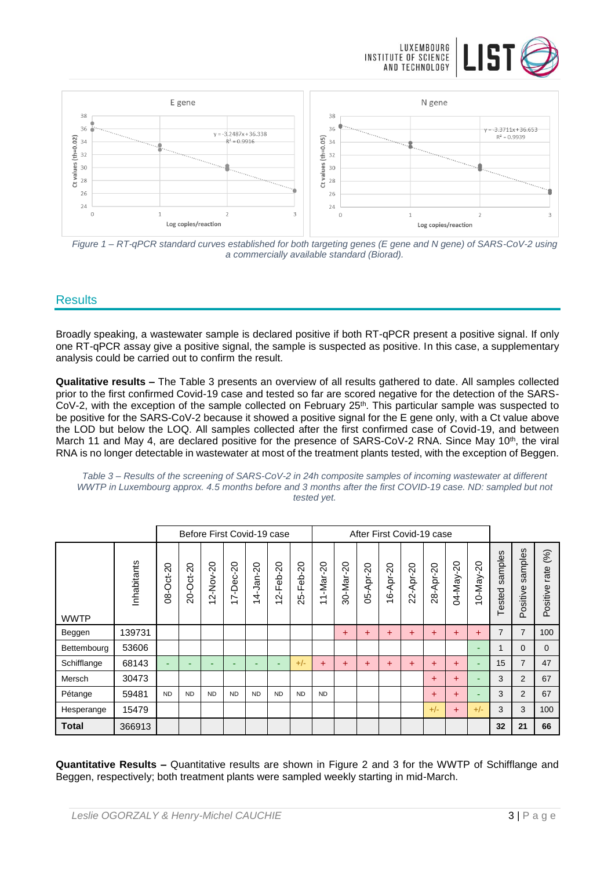



*Figure 1 – RT-qPCR standard curves established for both targeting genes (E gene and N gene) of SARS-CoV-2 using a commercially available standard (Biorad).*

### **Results**

Broadly speaking, a wastewater sample is declared positive if both RT-qPCR present a positive signal. If only one RT-qPCR assay give a positive signal, the sample is suspected as positive. In this case, a supplementary analysis could be carried out to confirm the result.

**Qualitative results –** The Table 3 presents an overview of all results gathered to date. All samples collected prior to the first confirmed Covid-19 case and tested so far are scored negative for the detection of the SARS-CoV-2, with the exception of the sample collected on February 25<sup>th</sup>. This particular sample was suspected to be positive for the SARS-CoV-2 because it showed a positive signal for the E gene only, with a Ct value above the LOD but below the LOQ. All samples collected after the first confirmed case of Covid-19, and between March 11 and May 4, are declared positive for the presence of SARS-CoV-2 RNA. Since May 10<sup>th</sup>, the viral RNA is no longer detectable in wastewater at most of the treatment plants tested, with the exception of Beggen.

| Table 3 – Results of the screening of SARS-CoV-2 in 24h composite samples of incoming wastewater at different |
|---------------------------------------------------------------------------------------------------------------|
| WWTP in Luxembourg approx. 4.5 months before and 3 months after the first COVID-19 case. ND: sampled but not  |
| tested vet.                                                                                                   |

|              |             |           | Before First Covid-19 case |                      |                            |           |                                       | After First Covid-19 case |                                  |           |           |                                      |                                                   |           |           |              |                       |                                           |                         |
|--------------|-------------|-----------|----------------------------|----------------------|----------------------------|-----------|---------------------------------------|---------------------------|----------------------------------|-----------|-----------|--------------------------------------|---------------------------------------------------|-----------|-----------|--------------|-----------------------|-------------------------------------------|-------------------------|
| <b>WWTP</b>  | Inhabitants | 08-Oct-20 | 20-Oct-20                  | $2-Nov-20$<br>$\div$ | 7-Dec-20<br>$\overline{ }$ | 14-Jan-20 | 20<br>န္မ<br>ட<br>군<br>$\overline{ }$ | 25-Feb-20                 | $1 - Max - 20$<br>$\overline{ }$ | 30-Mar-20 | 05-Apr-20 | 6-Apr-20<br>$\overline{\phantom{0}}$ | $\Omega$<br>Apr-2<br>$\dot{\mathbf{N}}$<br>$\sim$ | 28-Apr-20 | 04-May-20 | 20<br>10-May | samples<br>ested<br>⊢ | amples<br>$\omega$<br>ositive<br>$\Omega$ | (%)<br>rate<br>Positive |
| Beggen       | 139731      |           |                            |                      |                            |           |                                       |                           |                                  | $\ddot{}$ | $\ddot{}$ | $\ddot{}$                            | +                                                 | $\ddot{}$ | $\ddot{}$ | $\ddot{}$    | $\overline{7}$        | $\overline{7}$                            | 100                     |
| Bettembourg  | 53606       |           |                            |                      |                            |           |                                       |                           |                                  |           |           |                                      |                                                   |           |           | -            | 1                     | $\Omega$                                  | $\Omega$                |
| Schifflange  | 68143       | ۰         | -                          | -                    | ۰                          |           | ۰                                     | $+/-$                     | $\ddot{}$                        | $\ddot{}$ | $\pm$     | $\ddot{}$                            | $\ddot{}$                                         | $\ddot{}$ | $\ddot{}$ | ۰            | 15                    | 7                                         | 47                      |
| Mersch       | 30473       |           |                            |                      |                            |           |                                       |                           |                                  |           |           |                                      |                                                   | $\ddot{}$ | $\ddot{}$ | -            | 3                     | 2                                         | 67                      |
| Pétange      | 59481       | <b>ND</b> | <b>ND</b>                  | <b>ND</b>            | <b>ND</b>                  | <b>ND</b> | <b>ND</b>                             | <b>ND</b>                 | <b>ND</b>                        |           |           |                                      |                                                   | $\ddot{}$ | $\ddot{}$ | -            | 3                     | 2                                         | 67                      |
| Hesperange   | 15479       |           |                            |                      |                            |           |                                       |                           |                                  |           |           |                                      |                                                   | $+/-$     | $\ddot{}$ | $+/-$        | 3                     | 3                                         | 100                     |
| <b>Total</b> | 366913      |           |                            |                      |                            |           |                                       |                           |                                  |           |           |                                      |                                                   |           |           |              | 32                    | 21                                        | 66                      |

**Quantitative Results –** Quantitative results are shown in Figure 2 and 3 for the WWTP of Schifflange and Beggen, respectively; both treatment plants were sampled weekly starting in mid-March.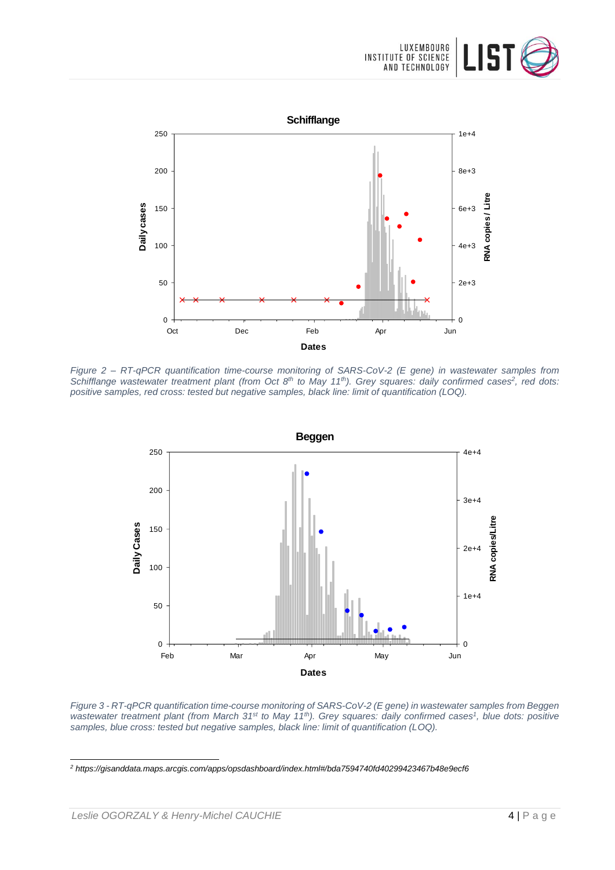



*Figure 2 – RT-qPCR quantification time-course monitoring of SARS-CoV-2 (E gene) in wastewater samples from Schifflange wastewater treatment plant (from Oct 8th to May 11th). Grey squares: daily confirmed cases<sup>2</sup> , red dots: positive samples, red cross: tested but negative samples, black line: limit of quantification (LOQ).*



*Figure 3 - RT-qPCR quantification time-course monitoring of SARS-CoV-2 (E gene) in wastewater samples from Beggen wastewater treatment plant (from March 31st to May 11th). Grey squares: daily confirmed cases<sup>1</sup> , blue dots: positive samples, blue cross: tested but negative samples, black line: limit of quantification (LOQ).*

l

*<sup>2</sup> https://gisanddata.maps.arcgis.com/apps/opsdashboard/index.html#/bda7594740fd40299423467b48e9ecf6*